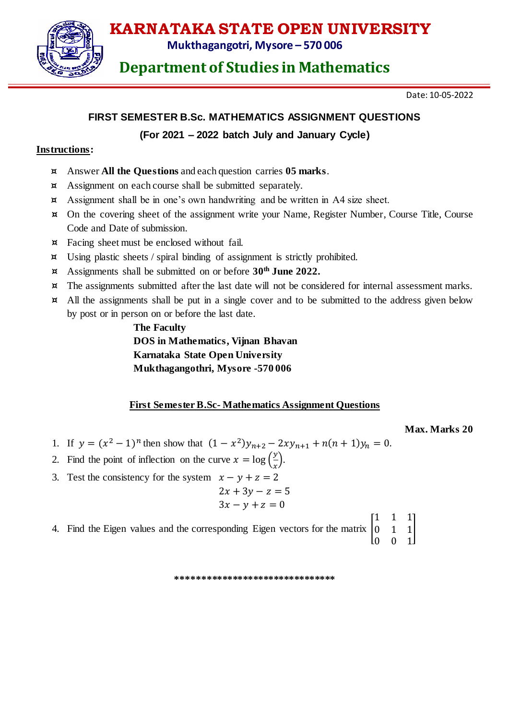

**Mukthagangotri, Mysore – 570 006**

## **Department of Studies in Mathematics**

Date: 10-05-2022

### **FIRST SEMESTER B.Sc. MATHEMATICS ASSIGNMENT QUESTIONS**

#### **(For 2021 – 2022 batch July and January Cycle)**

#### **Instructions:**

- ¤ Answer **All the Questions** and each question carries **05 marks**.
- ¤ Assignment on each course shall be submitted separately.
- ¤ Assignment shall be in one's own handwriting and be written in A4 size sheet.
- ¤ On the covering sheet of the assignment write your Name, Register Number, Course Title, Course Code and Date of submission.
- ¤ Facing sheet must be enclosed without fail.
- ¤ Using plastic sheets / spiral binding of assignment is strictly prohibited.
- ¤ Assignments shall be submitted on or before **30 th June 2022.**
- ¤ The assignments submitted after the last date will not be considered for internal assessment marks.
- ¤ All the assignments shall be put in a single cover and to be submitted to the address given below by post or in person on or before the last date.

**The Faculty DOS in Mathematics, Vijnan Bhavan Karnataka State Open University Mukthagangothri, Mysore -570 006**

#### **First SemesterB.Sc- Mathematics Assignment Questions**

**Max. Marks 20**

- 1. If  $y = (x^2 1)^n$  then show that  $(1 x^2)y_{n+2} 2xy_{n+1} + n(n+1)y_n = 0$ .
- 2. Find the point of inflection on the curve  $x = \log(\frac{y}{x})$  $\frac{y}{x}$ ).
- 3. Test the consistency for the system  $x y + z = 2$ 
	- $2x + 3y z = 5$  $3x - y + z = 0$
- 4. Find the Eigen values and the corresponding Eigen vectors for the matrix [ 1 1 1  $0 \t1 \t1$ 
	- $0 \quad 0 \quad 1$

**\*\*\*\*\*\*\*\*\*\*\*\*\*\*\*\*\*\*\*\*\*\*\*\*\*\*\*\*\*\*\***